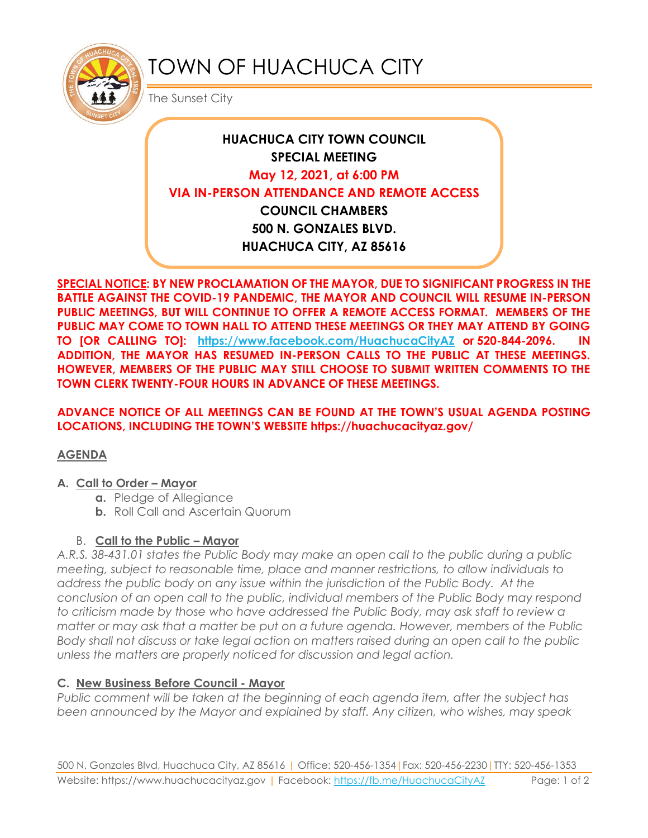

# TOWN OF HUACHUCA CITY

The Sunset City

## **HUACHUCA CITY TOWN COUNCIL SPECIAL MEETING May 12, 2021, at 6:00 PM VIA IN-PERSON ATTENDANCE AND REMOTE ACCESS COUNCIL CHAMBERS 500 N. GONZALES BLVD. HUACHUCA CITY, AZ 85616**

**SPECIAL NOTICE: BY NEW PROCLAMATION OF THE MAYOR, DUE TO SIGNIFICANT PROGRESS IN THE BATTLE AGAINST THE COVID-19 PANDEMIC, THE MAYOR AND COUNCIL WILL RESUME IN-PERSON PUBLIC MEETINGS, BUT WILL CONTINUE TO OFFER A REMOTE ACCESS FORMAT. MEMBERS OF THE PUBLIC MAY COME TO TOWN HALL TO ATTEND THESE MEETINGS OR THEY MAY ATTEND BY GOING TO [OR CALLING TO]: <https://www.facebook.com/HuachucaCityAZ> or 520-844-2096. IN ADDITION, THE MAYOR HAS RESUMED IN-PERSON CALLS TO THE PUBLIC AT THESE MEETINGS. HOWEVER, MEMBERS OF THE PUBLIC MAY STILL CHOOSE TO SUBMIT WRITTEN COMMENTS TO THE TOWN CLERK TWENTY-FOUR HOURS IN ADVANCE OF THESE MEETINGS.** 

**ADVANCE NOTICE OF ALL MEETINGS CAN BE FOUND AT THE TOWN'S USUAL AGENDA POSTING LOCATIONS, INCLUDING THE TOWN'S WEBSITE https://huachucacityaz.gov/**

### **AGENDA**

#### **A. Call to Order – Mayor**

- **a.** Pledge of Allegiance
- **b.** Roll Call and Ascertain Quorum

### B. **Call to the Public – Mayor**

*A.R.S. 38-431.01 states the Public Body may make an open call to the public during a public meeting, subject to reasonable time, place and manner restrictions, to allow individuals to address the public body on any issue within the jurisdiction of the Public Body. At the conclusion of an open call to the public, individual members of the Public Body may respond to criticism made by those who have addressed the Public Body, may ask staff to review a matter or may ask that a matter be put on a future agenda. However, members of the Public Body shall not discuss or take legal action on matters raised during an open call to the public unless the matters are properly noticed for discussion and legal action.*

### **C. New Business Before Council - Mayor**

*Public comment will be taken at the beginning of each agenda item, after the subject has been announced by the Mayor and explained by staff. Any citizen, who wishes, may speak*